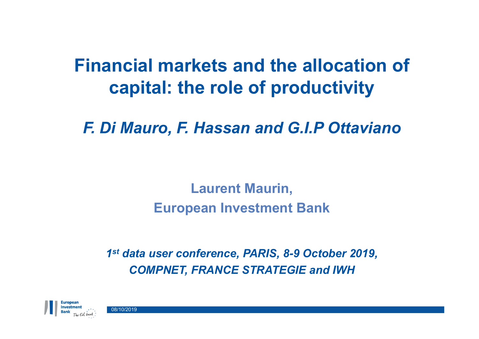## **Financial markets and the allocation of capital: the role of productivity**

*F. Di Mauro, F. Hassan and G.I.P Ottaviano*

**Laurent Maurin, European Investment Bank**

*1 st data user conference, PARIS, 8-9 October 2019, COMPNET, FRANCE STRATEGIE and IWH*



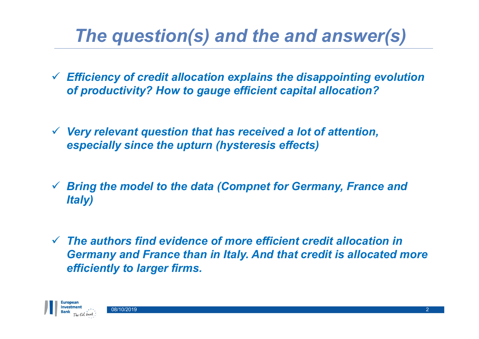## *The question(s) and the and answer(s)*

- *Efficiency of credit allocation explains the disappointing evolution of productivity? How to gauge efficient capital allocation?*
- *Very relevant question that has received a lot of attention, especially since the upturn (hysteresis effects)*
- *Bring the model to the data (Compnet for Germany, France and Italy)*
- *The authors find evidence of more efficient credit allocation in Germany and France than in Italy. And that credit is allocated more efficiently to larger firms.*

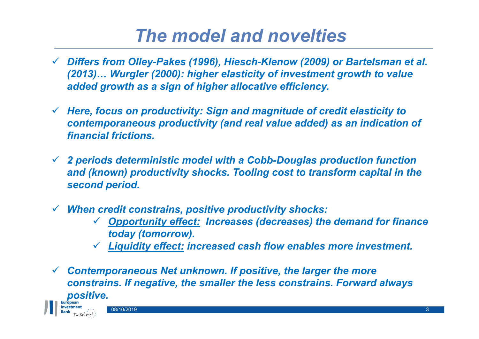## *The model and novelties*

- *Differs from Olley-Pakes (1996), Hiesch-Klenow (2009) or Bartelsman et al. (2013)… Wurgler (2000): higher elasticity of investment growth to value added growth as a sign of higher allocative efficiency.*
- *Here, focus on productivity: Sign and magnitude of credit elasticity to contemporaneous productivity (and real value added) as an indication of financial frictions.*
- *2 periods deterministic model with a Cobb-Douglas production function and (known) productivity shocks. Tooling cost to transform capital in the second period.*
- *When credit constrains, positive productivity shocks:*
	- *Opportunity effect: Increases (decreases) the demand for finance today (tomorrow).*
	- *Liquidity effect: increased cash flow enables more investment.*
- *Contemporaneous Net unknown. If positive, the larger the more constrains. If negative, the smaller the less constrains. Forward always positive.*